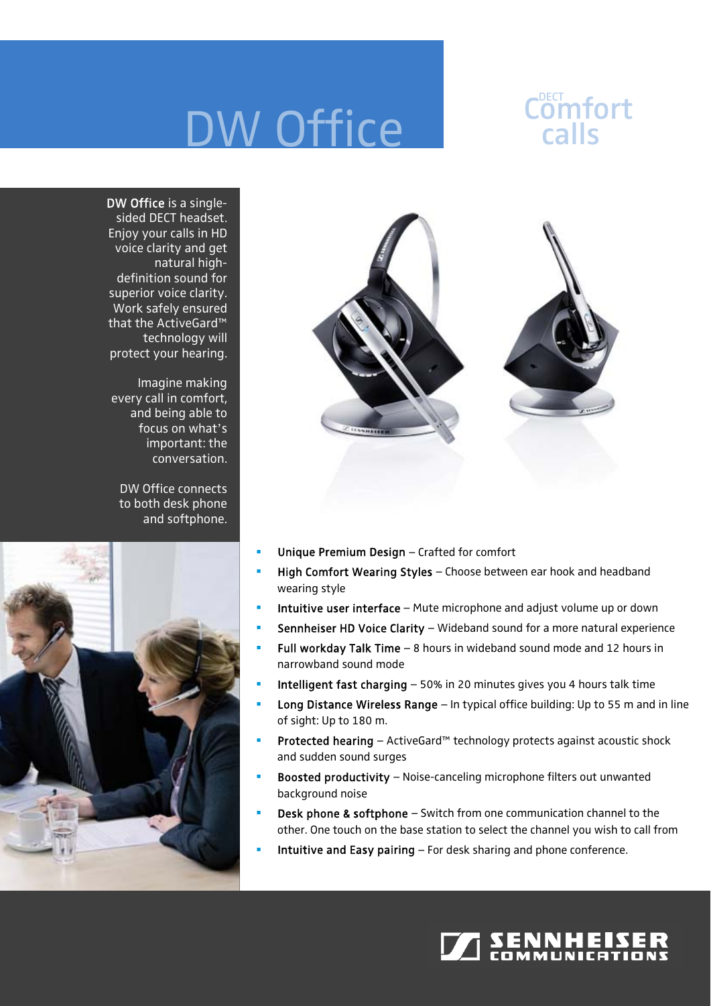#### Comfort **calls**

#### DW Office



Imagine making every call in comfort, and being able to focus on what's important: the conversation.

DW Office connects to both desk phone and softphone.





- Unique Premium Design Crafted for comfort
- High Comfort Wearing Styles Choose between ear hook and headband wearing style
- Intuitive user interface Mute microphone and adjust volume up or down
- Sennheiser HD Voice Clarity Wideband sound for a more natural experience
- Full workday Talk Time 8 hours in wideband sound mode and 12 hours in narrowband sound mode
- Intelligent fast charging 50% in 20 minutes gives you 4 hours talk time
- Long Distance Wireless Range In typical office building: Up to 55 m and in line of sight: Up to 180 m.
- Protected hearing ActiveGard™ technology protects against acoustic shock and sudden sound surges
- Boosted productivity Noise-canceling microphone filters out unwanted background noise
- Desk phone & softphone Switch from one communication channel to the other. One touch on the base station to select the channel you wish to call from
- Intuitive and Easy pairing For desk sharing and phone conference.

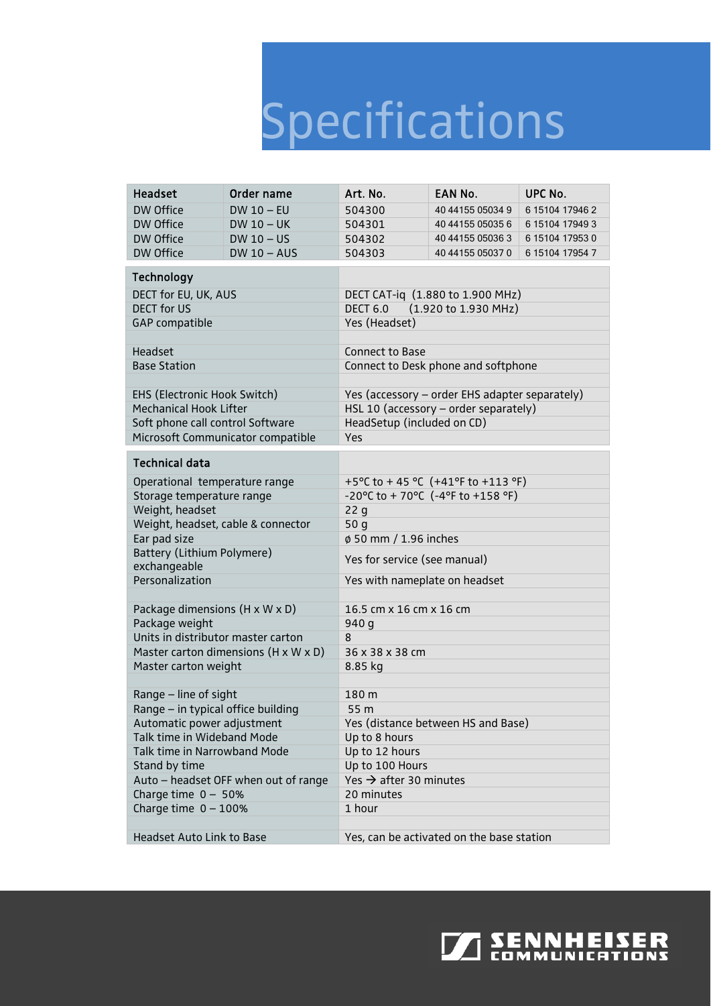## Specifications

| <b>Headset</b>                             | Order name   | Art. No.                                       | <b>EAN No.</b>                        | UPC No.         |  |
|--------------------------------------------|--------------|------------------------------------------------|---------------------------------------|-----------------|--|
| DW Office                                  | $DW10 - EU$  | 504300                                         | 40 44155 05034 9                      | 6 15104 17946 2 |  |
| <b>DW Office</b>                           | $DW10 - UK$  | 504301                                         | 40 44155 05035 6                      | 6 15104 17949 3 |  |
| DW Office                                  | $DW10 - US$  | 504302                                         | 40 44155 05036 3                      | 6 15104 17953 0 |  |
| DW Office                                  | $DW10 - AUS$ | 504303                                         | 40 44155 05037 0                      | 6 15104 17954 7 |  |
| <b>Technology</b>                          |              |                                                |                                       |                 |  |
| DECT for EU, UK, AUS                       |              | DECT CAT-iq (1.880 to 1.900 MHz)               |                                       |                 |  |
| <b>DECT for US</b>                         |              | (1.920 to 1.930 MHz)<br><b>DECT 6.0</b>        |                                       |                 |  |
| <b>GAP</b> compatible                      |              | Yes (Headset)                                  |                                       |                 |  |
|                                            |              |                                                |                                       |                 |  |
| Headset                                    |              | <b>Connect to Base</b>                         |                                       |                 |  |
| <b>Base Station</b>                        |              | Connect to Desk phone and softphone            |                                       |                 |  |
|                                            |              |                                                |                                       |                 |  |
| EHS (Electronic Hook Switch)               |              | Yes (accessory - order EHS adapter separately) |                                       |                 |  |
| <b>Mechanical Hook Lifter</b>              |              |                                                | HSL 10 (accessory - order separately) |                 |  |
| Soft phone call control Software           |              | HeadSetup (included on CD)                     |                                       |                 |  |
| Microsoft Communicator compatible          |              | Yes                                            |                                       |                 |  |
| <b>Technical data</b>                      |              |                                                |                                       |                 |  |
| Operational temperature range              |              | +5°C to +45 °C (+41°F to +113 °F)              |                                       |                 |  |
| Storage temperature range                  |              | -20°C to + 70°C (-4°F to +158 °F)              |                                       |                 |  |
| Weight, headset                            |              | 22q                                            |                                       |                 |  |
| Weight, headset, cable & connector         |              | 50 g                                           |                                       |                 |  |
| Ear pad size                               |              | ø 50 mm / 1.96 inches                          |                                       |                 |  |
| Battery (Lithium Polymere)<br>exchangeable |              | Yes for service (see manual)                   |                                       |                 |  |
| Personalization                            |              | Yes with nameplate on headset                  |                                       |                 |  |
|                                            |              |                                                |                                       |                 |  |
| Package dimensions (H x W x D)             |              | 16.5 cm x 16 cm x 16 cm                        |                                       |                 |  |
| Package weight                             |              | 940 g                                          |                                       |                 |  |
| Units in distributor master carton         |              | 8                                              |                                       |                 |  |
| Master carton dimensions (H x W x D)       |              | 36 x 38 x 38 cm                                |                                       |                 |  |
| Master carton weight                       |              | 8.85 kg                                        |                                       |                 |  |
| Range - line of sight                      |              | 180 m                                          |                                       |                 |  |
| Range - in typical office building         |              | 55 m                                           |                                       |                 |  |
| Automatic power adjustment                 |              | Yes (distance between HS and Base)             |                                       |                 |  |
| Talk time in Wideband Mode                 |              | Up to 8 hours                                  |                                       |                 |  |
| Talk time in Narrowband Mode               |              | Up to 12 hours                                 |                                       |                 |  |
| Stand by time                              |              | Up to 100 Hours                                |                                       |                 |  |
| Auto - headset OFF when out of range       |              | Yes $\rightarrow$ after 30 minutes             |                                       |                 |  |
| Charge time $0 - 50%$                      |              | 20 minutes                                     |                                       |                 |  |
| Charge time $0 - 100%$                     |              | 1 hour                                         |                                       |                 |  |
|                                            |              |                                                |                                       |                 |  |
| <b>Headset Auto Link to Base</b>           |              | Yes, can be activated on the base station      |                                       |                 |  |

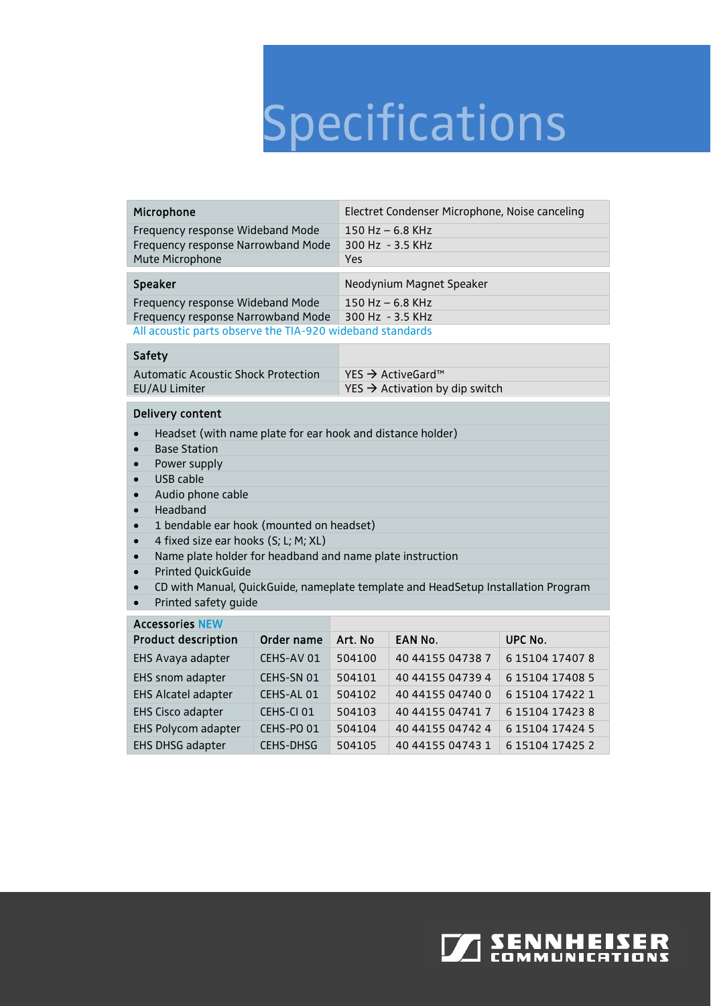## Specifications

| Microphone<br>Frequency response Wideband Mode<br>Frequency response Narrowband Mode<br>Mute Microphone                                                                                                                                                                                                                                                                                                                                                                                                                                                                                                                    | <b>Yes</b>                                                   | Electret Condenser Microphone, Noise canceling<br>$150$ Hz $-$ 6.8 KHz<br>300 Hz - 3.5 KHz |                                                                                                |  |
|----------------------------------------------------------------------------------------------------------------------------------------------------------------------------------------------------------------------------------------------------------------------------------------------------------------------------------------------------------------------------------------------------------------------------------------------------------------------------------------------------------------------------------------------------------------------------------------------------------------------------|--------------------------------------------------------------|--------------------------------------------------------------------------------------------|------------------------------------------------------------------------------------------------|--|
| Speaker<br>Frequency response Wideband Mode<br>Frequency response Narrowband Mode<br>All acoustic parts observe the TIA-920 wideband standards                                                                                                                                                                                                                                                                                                                                                                                                                                                                             |                                                              | Neodynium Magnet Speaker<br>150 Hz $-$ 6.8 KHz<br>300 Hz - 3.5 KHz                         |                                                                                                |  |
| Safety<br><b>Automatic Acoustic Shock Protection</b><br>YES $→$ ActiveGard <sup>™</sup><br><b>EU/AU Limiter</b><br>YES $\rightarrow$ Activation by dip switch                                                                                                                                                                                                                                                                                                                                                                                                                                                              |                                                              |                                                                                            |                                                                                                |  |
| Delivery content<br>Headset (with name plate for ear hook and distance holder)<br>$\bullet$<br><b>Base Station</b><br>$\bullet$<br>Power supply<br>$\bullet$<br>USB cable<br>$\bullet$<br>Audio phone cable<br>$\bullet$<br>Headband<br>$\bullet$<br>1 bendable ear hook (mounted on headset)<br>$\bullet$<br>4 fixed size ear hooks (S; L; M; XL)<br>$\bullet$<br>Name plate holder for headband and name plate instruction<br>$\bullet$<br><b>Printed QuickGuide</b><br>$\bullet$<br>CD with Manual, QuickGuide, nameplate template and HeadSetup Installation Program<br>$\bullet$<br>Printed safety guide<br>$\bullet$ |                                                              |                                                                                            |                                                                                                |  |
| <b>Accessories NEW</b><br><b>Product description</b><br>$F \cup C$ . A concern and a set a set                                                                                                                                                                                                                                                                                                                                                                                                                                                                                                                             | Order name<br>Art. No<br>$C = 10C - 11C - 4$<br>$F^{\alpha}$ | <b>EAN No.</b><br>10.1115501707                                                            | UPC No.<br>$C$ 1 $C$ 1 $C$ 1 $A$ $\overline{A}$ 1 $\overline{A}$ $\overline{C}$ $\overline{C}$ |  |

| <b>Product description</b> | Order name | Art. No | <b>EAN No.</b>   | UPC No.         |  |
|----------------------------|------------|---------|------------------|-----------------|--|
| EHS Avaya adapter          | CEHS-AV 01 | 504100  | 40 44155 04738 7 | 6 15104 17407 8 |  |
| EHS snom adapter           | CEHS-SN 01 | 504101  | 40 44155 04739 4 | 6 15104 17408 5 |  |
| EHS Alcatel adapter        | CEHS-AL 01 | 504102  | 40 44155 04740 0 | 6 15104 17422 1 |  |
| <b>EHS Cisco adapter</b>   | CEHS-CI 01 | 504103  | 40 44155 04741 7 | 6 15104 17423 8 |  |
| EHS Polycom adapter        | CEHS-PO 01 | 504104  | 40 44155 04742 4 | 6 15104 17424 5 |  |
| EHS DHSG adapter           | CEHS-DHSG  | 504105  | 40 44155 04743 1 | 6 15104 17425 2 |  |
|                            |            |         |                  |                 |  |